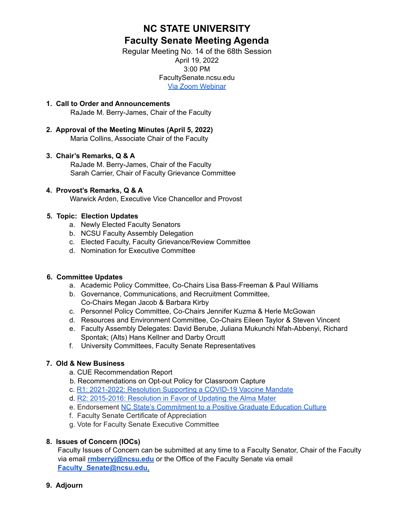# **NC STATE UNIVERSITY Faculty Senate Meeting Agenda**

Regular Meeting No. 14 of the 68th Session April 19, 2022 3:00 PM FacultySenate.ncsu.edu Via Zoom [Webinar](https://ncsu.zoom.us/j/93579522763)

- **1. Call to Order and Announcements** RaJade M. Berry-James, Chair of the Faculty
- **2. Approval of the Meeting Minutes (April 5, 2022)** Maria Collins, Associate Chair of the Faculty

# **3. Chair's Remarks, Q & A**

RaJade M. Berry-James, Chair of the Faculty Sarah Carrier, Chair of Faculty Grievance Committee

### **4. Provost's Remarks, Q & A**

Warwick Arden, Executive Vice Chancellor and Provost

## **5. Topic: Election Updates**

- a. Newly Elected Faculty Senators
- b. NCSU Faculty Assembly Delegation
- c. Elected Faculty, Faculty Grievance/Review Committee
- d. Nomination for Executive Committee

### **6. Committee Updates**

- a. Academic Policy Committee, Co-Chairs Lisa Bass-Freeman & Paul Williams
- b. Governance, Communications, and Recruitment Committee, Co-Chairs Megan Jacob & Barbara Kirby
- c. Personnel Policy Committee, Co-Chairs Jennifer Kuzma & Herle McGowan
- d. Resources and Environment Committee, Co-Chairs Eileen Taylor & Steven Vincent
- e. Faculty Assembly Delegates: David Berube, Juliana Mukunchi Nfah-Abbenyi, Richard Spontak; (Alts) Hans Kellner and Darby Orcutt
- f. University Committees, Faculty Senate Representatives

# **7. Old & New Business**

- a. CUE Recommendation Report
- b. Recommendations on Opt-out Policy for Classroom Capture
- c. R1: 2021-2022: Resolution Supporting a COVID-19 Vaccine Mandate
- d. R2: 2015-2016: Resolution in Favor of Updating the Alma Mater
- e. Endorsement NC State's [Commitment](https://facultysenate.ncsu.edu/wp-content/uploads/sites/65/2022/03/Positive-Graduate-Education-Culture-document_March2022.pdf) to a Positive Graduate Education Culture
- f. Faculty Senate Certificate of Appreciation
- g. Vote for Faculty Senate Executive Committee

# **8. Issues of Concern (IOCs)**

Faculty Issues of Concern can be submitted at any time to a Faculty Senator, Chair of the Faculty via email **rmberryj@ncsu.edu** or the Office of the Faculty Senate via email **Faculty\_Senate@ncsu.edu**.

### **9. Adjourn**